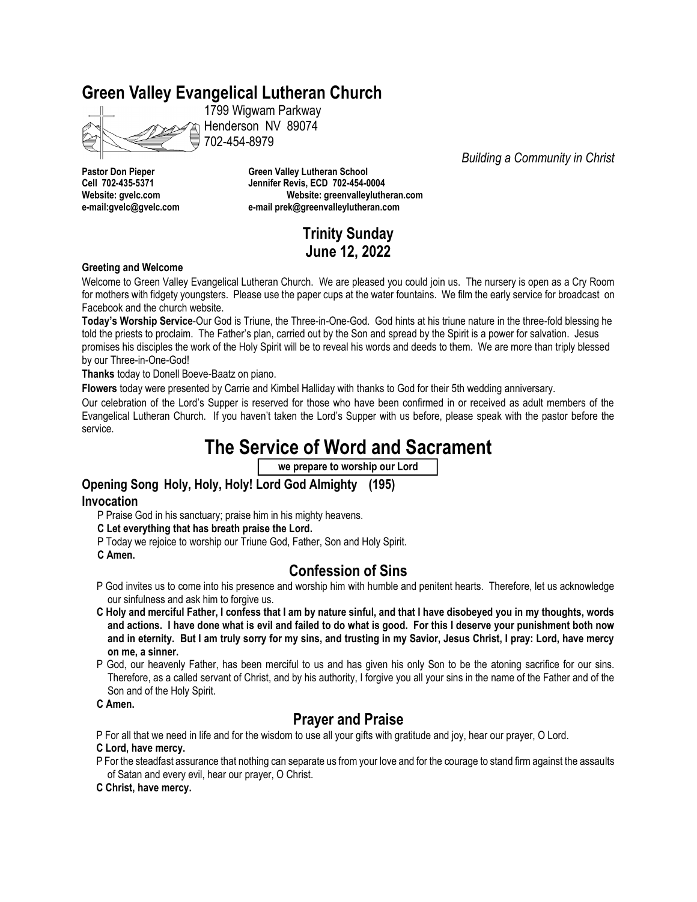# **Green Valley Evangelical Lutheran Church**

1799 Wigwam Parkway Henderson NV 89074 702-454-8979

**Pastor Don Pieper Green Valley Lutheran School Cell 702-435-5371 Jennifer Revis, ECD 702-454-0004 Website: gvelc.com Website: greenvalleylutheran.com e-mail:gvelc@gvelc.com e-mail prek@greenvalleylutheran.com**

# **Trinity Sunday June 12, 2022**

*Building a Community in Christ*

#### **Greeting and Welcome**

Welcome to Green Valley Evangelical Lutheran Church. We are pleased you could join us. The nursery is open as a Cry Room for mothers with fidgety youngsters. Please use the paper cups at the water fountains. We film the early service for broadcast on Facebook and the church website.

**Today's Worship Service**-Our God is Triune, the Three-in-One-God. God hints at his triune nature in the three-fold blessing he told the priests to proclaim. The Father's plan, carried out by the Son and spread by the Spirit is a power for salvation. Jesus promises his disciples the work of the Holy Spirit will be to reveal his words and deeds to them. We are more than triply blessed by our Three-in-One-God!

**Thanks** today to Donell Boeve-Baatz on piano.

**Flowers** today were presented by Carrie and Kimbel Halliday with thanks to God for their 5th wedding anniversary.

Our celebration of the Lord's Supper is reserved for those who have been confirmed in or received as adult members of the Evangelical Lutheran Church. If you haven't taken the Lord's Supper with us before, please speak with the pastor before the service.

# **The Service of Word and Sacrament**

**we prepare to worship our Lord**

## **Opening Song Holy, Holy, Holy! Lord God Almighty (195)**

## **Invocation**

- P Praise God in his sanctuary; praise him in his mighty heavens.
- **C Let everything that has breath praise the Lord.**
- P Today we rejoice to worship our Triune God, Father, Son and Holy Spirit.
- **C Amen.**

## **Confession of Sins**

- P God invites us to come into his presence and worship him with humble and penitent hearts. Therefore, let us acknowledge our sinfulness and ask him to forgive us.
- **C Holy and merciful Father, I confess that I am by nature sinful, and that I have disobeyed you in my thoughts, words and actions. I have done what is evil and failed to do what is good. For this I deserve your punishment both now and in eternity. But I am truly sorry for my sins, and trusting in my Savior, Jesus Christ, I pray: Lord, have mercy on me, a sinner.**
- P God, our heavenly Father, has been merciful to us and has given his only Son to be the atoning sacrifice for our sins. Therefore, as a called servant of Christ, and by his authority, I forgive you all your sins in the name of the Father and of the Son and of the Holy Spirit.

**C Amen.**

## **Prayer and Praise**

P For all that we need in life and for the wisdom to use all your gifts with gratitude and joy, hear our prayer, O Lord.

**C Lord, have mercy.**

P For the steadfast assurance that nothing can separate us from your love and for the courage to stand firm against the assaults of Satan and every evil, hear our prayer, O Christ.

**C Christ, have mercy.**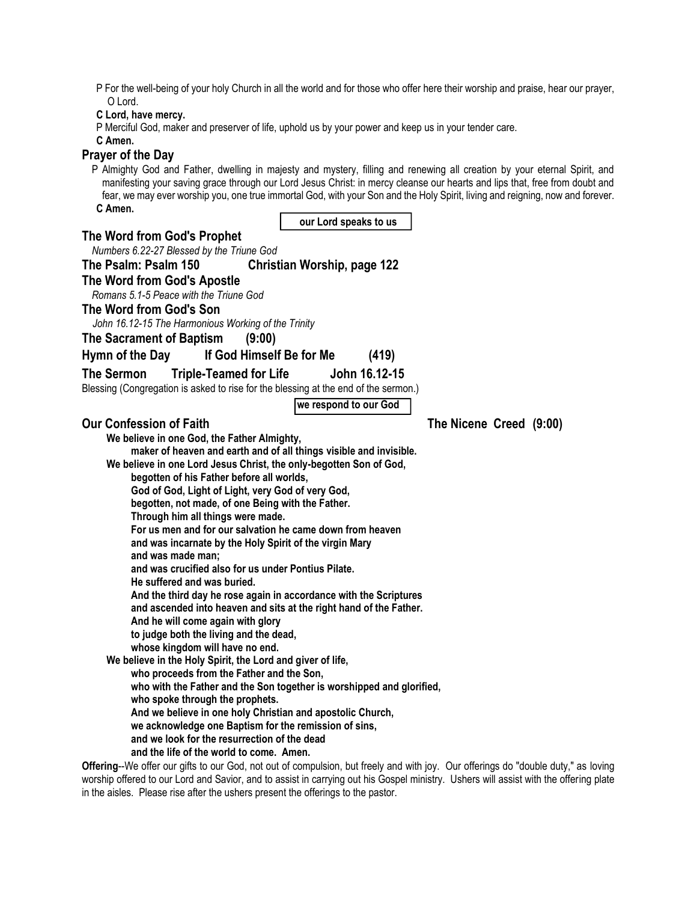P For the well-being of your holy Church in all the world and for those who offer here their worship and praise, hear our prayer, O Lord.

**C Lord, have mercy.**

P Merciful God, maker and preserver of life, uphold us by your power and keep us in your tender care.

**C Amen.**

## **Prayer of the Day**

P Almighty God and Father, dwelling in majesty and mystery, filling and renewing all creation by your eternal Spirit, and manifesting your saving grace through our Lord Jesus Christ: in mercy cleanse our hearts and lips that, free from doubt and fear, we may ever worship you, one true immortal God, with your Son and the Holy Spirit, living and reigning, now and forever. **C Amen.**  $\Gamma$  $\overline{\phantom{a}}$ **our Lord speaks to us**

| our Lord speaks to us                                                                                                                                      |
|------------------------------------------------------------------------------------------------------------------------------------------------------------|
| The Word from God's Prophet                                                                                                                                |
| Numbers 6.22-27 Blessed by the Triune God                                                                                                                  |
| The Psalm: Psalm 150<br><b>Christian Worship, page 122</b>                                                                                                 |
| The Word from God's Apostle<br>Romans 5.1-5 Peace with the Triune God                                                                                      |
| The Word from God's Son<br>John 16.12-15 The Harmonious Working of the Trinity                                                                             |
| The Sacrament of Baptism<br>(9:00)                                                                                                                         |
|                                                                                                                                                            |
| If God Himself Be for Me<br>Hymn of the Day<br>(419)                                                                                                       |
| <b>The Sermon</b><br><b>Triple-Teamed for Life</b><br>John 16.12-15<br>Blessing (Congregation is asked to rise for the blessing at the end of the sermon.) |
| we respond to our God                                                                                                                                      |
| <b>Our Confession of Faith</b><br>The Nicene Creed (9:00)                                                                                                  |
| We believe in one God, the Father Almighty,                                                                                                                |
| maker of heaven and earth and of all things visible and invisible.                                                                                         |
| We believe in one Lord Jesus Christ, the only-begotten Son of God,                                                                                         |
| begotten of his Father before all worlds,                                                                                                                  |
| God of God, Light of Light, very God of very God,                                                                                                          |
| begotten, not made, of one Being with the Father.                                                                                                          |
| Through him all things were made.                                                                                                                          |
| For us men and for our salvation he came down from heaven                                                                                                  |
| and was incarnate by the Holy Spirit of the virgin Mary                                                                                                    |
| and was made man;                                                                                                                                          |
| and was crucified also for us under Pontius Pilate.                                                                                                        |
| He suffered and was buried.                                                                                                                                |
| And the third day he rose again in accordance with the Scriptures                                                                                          |
| and ascended into heaven and sits at the right hand of the Father.                                                                                         |
| And he will come again with glory                                                                                                                          |
| to judge both the living and the dead,                                                                                                                     |
| whose kingdom will have no end.                                                                                                                            |
| We believe in the Holy Spirit, the Lord and giver of life,                                                                                                 |
| who proceeds from the Father and the Son,                                                                                                                  |
| who with the Father and the Son together is worshipped and glorified,                                                                                      |
| who spoke through the prophets.                                                                                                                            |
|                                                                                                                                                            |
| And we believe in one holy Christian and apostolic Church,                                                                                                 |
| we acknowledge one Baptism for the remission of sins,                                                                                                      |
| and we look for the resurrection of the dead<br>and the life of the world to come. Amen.                                                                   |
|                                                                                                                                                            |
| Offering--We offer our gifts to our God, not out of compulsion, but freely and with joy. Our offerings do "double duty," as loving                         |
| worship offered to our Lord and Savior, and to assist in carrying out his Gospel ministry. Ushers will assist with the offering plate                      |

in the aisles. Please rise after the ushers present the offerings to the pastor.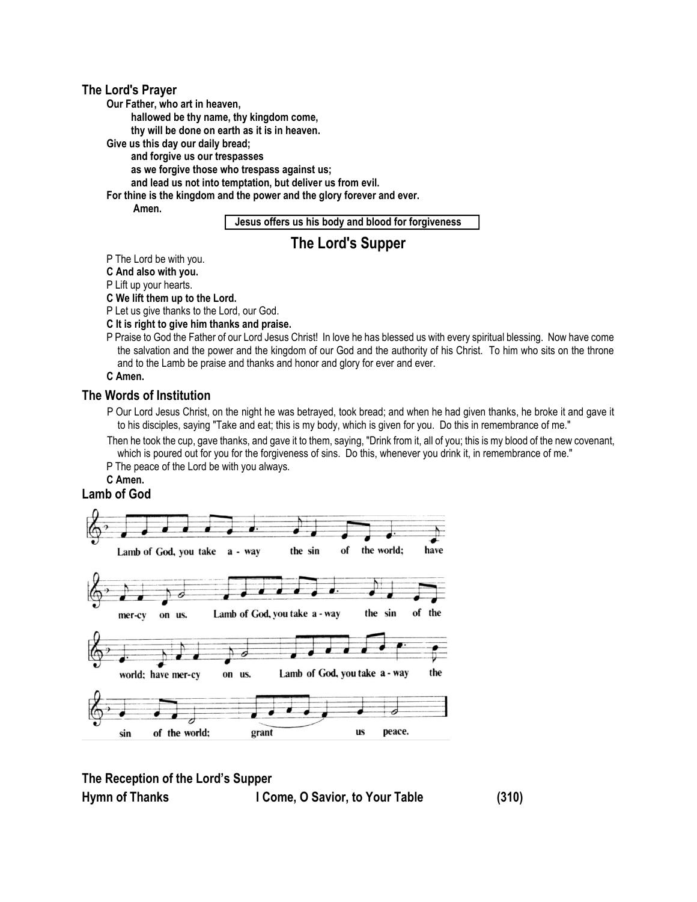#### **The Lord's Prayer**

**Our Father, who art in heaven,**

**hallowed be thy name, thy kingdom come,**

**thy will be done on earth as it is in heaven.**

**Give us this day our daily bread;**

**and forgive us our trespasses** 

**as we forgive those who trespass against us;**

**and lead us not into temptation, but deliver us from evil.**

**For thine is the kingdom and the power and the glory forever and ever.**

**Amen.**

**Jesus offers us his body and blood for forgiveness**

## **The Lord's Supper**

P The Lord be with you.

**C And also with you.**

P Lift up your hearts.

**C We lift them up to the Lord.**

P Let us give thanks to the Lord, our God.

**C It is right to give him thanks and praise.**

P Praise to God the Father of our Lord Jesus Christ! In love he has blessed us with every spiritual blessing. Now have come the salvation and the power and the kingdom of our God and the authority of his Christ. To him who sits on the throne and to the Lamb be praise and thanks and honor and glory for ever and ever.

**C Amen.**

### **The Words of Institution**

- P Our Lord Jesus Christ, on the night he was betrayed, took bread; and when he had given thanks, he broke it and gave it to his disciples, saying "Take and eat; this is my body, which is given for you. Do this in remembrance of me."
- Then he took the cup, gave thanks, and gave it to them, saying, "Drink from it, all of you; this is my blood of the new covenant, which is poured out for you for the forgiveness of sins. Do this, whenever you drink it, in remembrance of me."
- P The peace of the Lord be with you always.
- **C Amen.**

### **Lamb of God**



## **The Reception of the Lord's Supper**

**Hymn of Thanks I Come, O Savior, to Your Table (310)**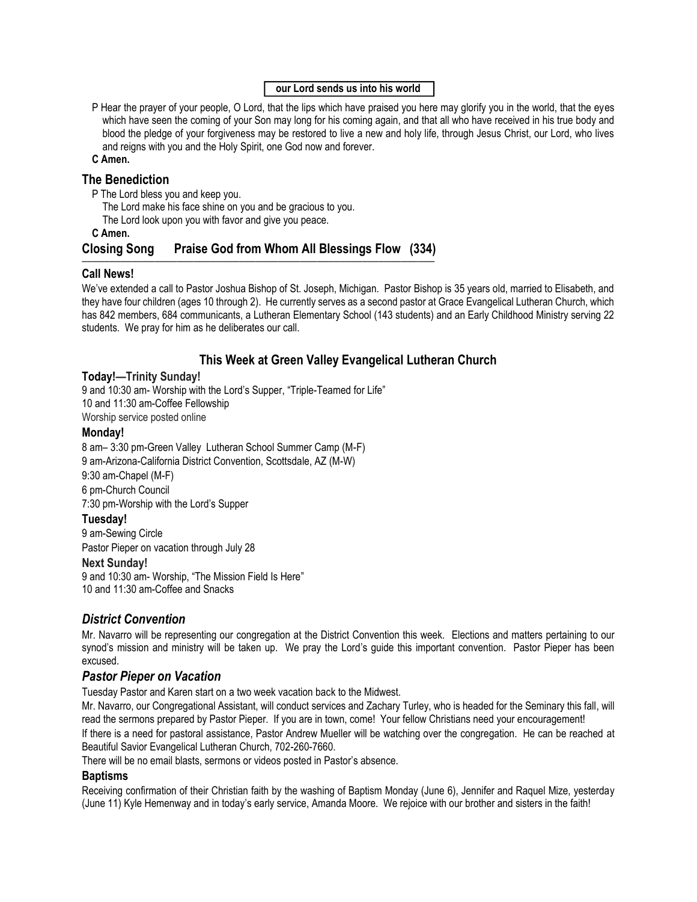## **our Lord sends us into his world**

P Hear the prayer of your people, O Lord, that the lips which have praised you here may glorify you in the world, that the eyes which have seen the coming of your Son may long for his coming again, and that all who have received in his true body and blood the pledge of your forgiveness may be restored to live a new and holy life, through Jesus Christ, our Lord, who lives and reigns with you and the Holy Spirit, one God now and forever.

#### **C Amen.**

## **The Benediction**

- P The Lord bless you and keep you.
	- The Lord make his face shine on you and be gracious to you.
	- The Lord look upon you with favor and give you peace.

#### **C Amen.**

#### **Closing Song Praise God from Whom All Blessings Flow (334) ———————————————————————————————————————————————————————————————**

## **Call News!**

We've extended a call to Pastor Joshua Bishop of St. Joseph, Michigan. Pastor Bishop is 35 years old, married to Elisabeth, and they have four children (ages 10 through 2). He currently serves as a second pastor at Grace Evangelical Lutheran Church, which has 842 members, 684 communicants, a Lutheran Elementary School (143 students) and an Early Childhood Ministry serving 22 students. We pray for him as he deliberates our call.

## **This Week at Green Valley Evangelical Lutheran Church**

## **Today!—Trinity Sunday!**

9 and 10:30 am- Worship with the Lord's Supper, "Triple-Teamed for Life" 10 and 11:30 am-Coffee Fellowship Worship service posted online

#### **Monday!**

8 am– 3:30 pm-Green Valley Lutheran School Summer Camp (M-F) 9 am-Arizona-California District Convention, Scottsdale, AZ (M-W) 9:30 am-Chapel (M-F) 6 pm-Church Council 7:30 pm-Worship with the Lord's Supper **Tuesday!**

9 am-Sewing Circle

Pastor Pieper on vacation through July 28

## **Next Sunday!**

9 and 10:30 am- Worship, "The Mission Field Is Here" 10 and 11:30 am-Coffee and Snacks

## *District Convention*

Mr. Navarro will be representing our congregation at the District Convention this week. Elections and matters pertaining to our synod's mission and ministry will be taken up. We pray the Lord's guide this important convention. Pastor Pieper has been excused.

## *Pastor Pieper on Vacation*

Tuesday Pastor and Karen start on a two week vacation back to the Midwest.

Mr. Navarro, our Congregational Assistant, will conduct services and Zachary Turley, who is headed for the Seminary this fall, will read the sermons prepared by Pastor Pieper. If you are in town, come! Your fellow Christians need your encouragement! If there is a need for pastoral assistance, Pastor Andrew Mueller will be watching over the congregation. He can be reached at Beautiful Savior Evangelical Lutheran Church, 702-260-7660.

There will be no email blasts, sermons or videos posted in Pastor's absence.

## **Baptisms**

Receiving confirmation of their Christian faith by the washing of Baptism Monday (June 6), Jennifer and Raquel Mize, yesterday (June 11) Kyle Hemenway and in today's early service, Amanda Moore. We rejoice with our brother and sisters in the faith!